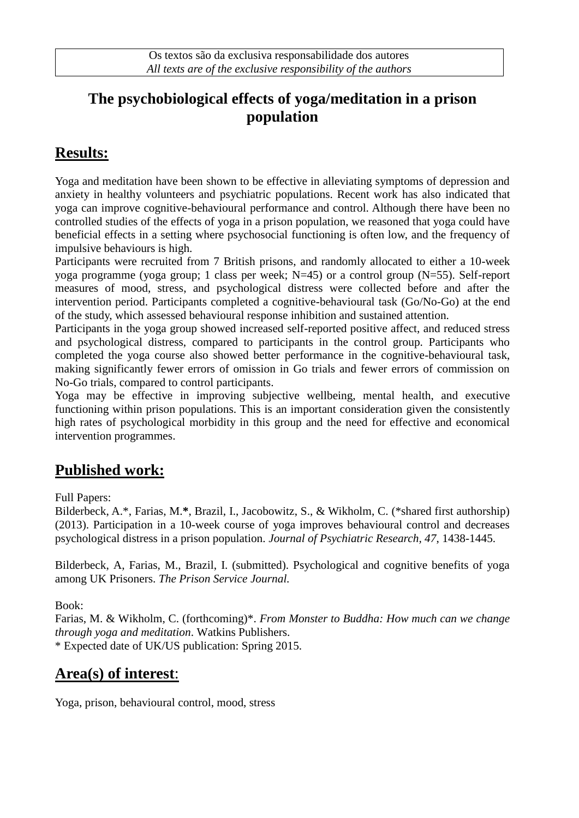#### **The psychobiological effects of yoga/meditation in a prison population**

# **Results:**

Yoga and meditation have been shown to be effective in alleviating symptoms of depression and anxiety in healthy volunteers and psychiatric populations. Recent work has also indicated that yoga can improve cognitive-behavioural performance and control. Although there have been no controlled studies of the effects of yoga in a prison population, we reasoned that yoga could have beneficial effects in a setting where psychosocial functioning is often low, and the frequency of impulsive behaviours is high.

Participants were recruited from 7 British prisons, and randomly allocated to either a 10-week yoga programme (yoga group; 1 class per week; N=45) or a control group (N=55). Self-report measures of mood, stress, and psychological distress were collected before and after the intervention period. Participants completed a cognitive-behavioural task (Go/No-Go) at the end of the study, which assessed behavioural response inhibition and sustained attention.

Participants in the yoga group showed increased self-reported positive affect, and reduced stress and psychological distress, compared to participants in the control group. Participants who completed the yoga course also showed better performance in the cognitive-behavioural task, making significantly fewer errors of omission in Go trials and fewer errors of commission on No-Go trials, compared to control participants.

Yoga may be effective in improving subjective wellbeing, mental health, and executive functioning within prison populations. This is an important consideration given the consistently high rates of psychological morbidity in this group and the need for effective and economical intervention programmes.

### **Published work:**

Full Papers:

Bilderbeck, A.\*, Farias, M.**\***, Brazil, I., Jacobowitz, S., & Wikholm, C. (\*shared first authorship) (2013). Participation in a 10-week course of yoga improves behavioural control and decreases psychological distress in a prison population. *Journal of Psychiatric Research, 47*, 1438-1445.

Bilderbeck, A, Farias, M., Brazil, I. (submitted). Psychological and cognitive benefits of yoga among UK Prisoners. *The Prison Service Journal.*

Book:

Farias, M. & Wikholm, C. (forthcoming)\*. *From Monster to Buddha: How much can we change through yoga and meditation*. Watkins Publishers. \* Expected date of UK/US publication: Spring 2015.

### **Area(s) of interest**:

Yoga, prison, behavioural control, mood, stress